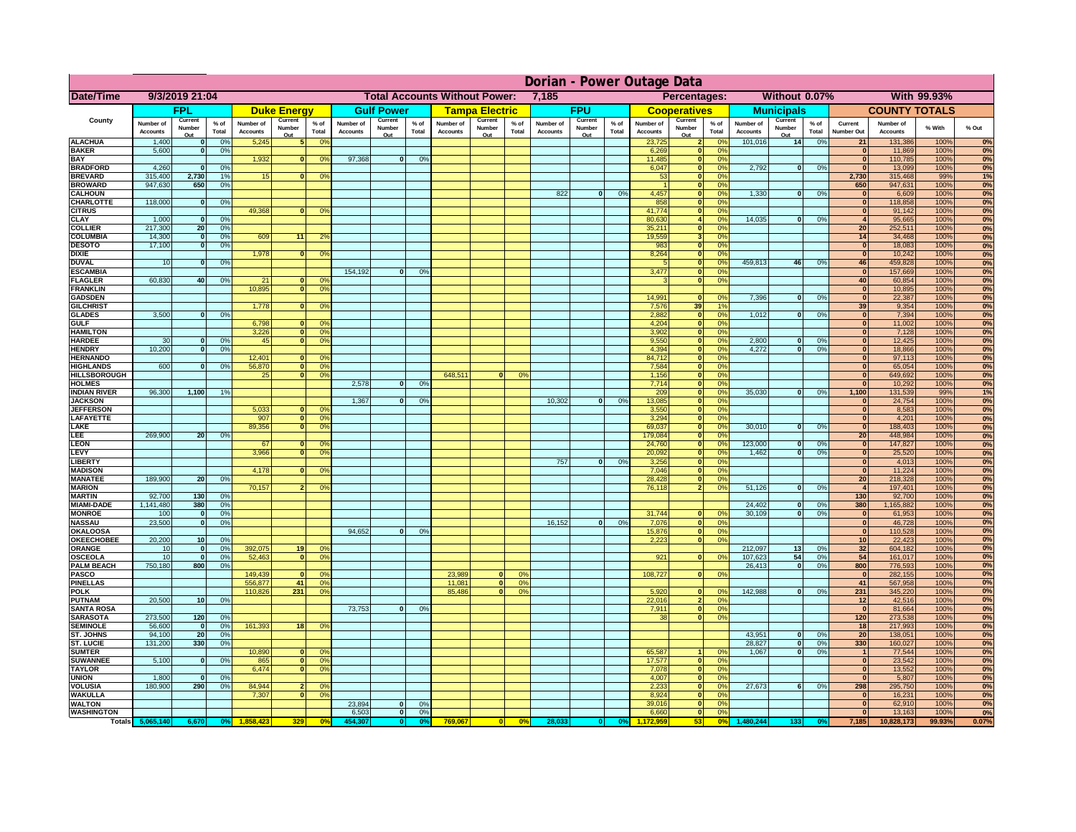|                                      | Dorian - Power Outage Data   |                          |                |                              |                                |                                  |                              |                          |                |                                      |                          |                 |                              |                          |               |                              |                                 |                       |                              |                          |                 |                                   |                       |              |          |
|--------------------------------------|------------------------------|--------------------------|----------------|------------------------------|--------------------------------|----------------------------------|------------------------------|--------------------------|----------------|--------------------------------------|--------------------------|-----------------|------------------------------|--------------------------|---------------|------------------------------|---------------------------------|-----------------------|------------------------------|--------------------------|-----------------|-----------------------------------|-----------------------|--------------|----------|
| <b>Date/Time</b>                     |                              | 9/3/2019 21:04           |                |                              |                                |                                  |                              |                          |                | <b>Total Accounts Without Power:</b> |                          |                 | 7,185                        |                          |               |                              | Percentages:                    |                       |                              | Without 0.07%            |                 |                                   |                       | With 99.93%  |          |
|                                      |                              | FPL                      |                |                              | <b>Duke Energy</b>             |                                  |                              | <b>Gulf Power</b>        |                |                                      | <b>Tampa Electric</b>    |                 |                              | <b>FPU</b>               |               |                              | <b>Cooperatives</b>             |                       |                              | <b>Municipals</b>        |                 |                                   | <b>COUNTY TOTALS</b>  |              |          |
| County                               | Number of<br><b>Accounts</b> | Current<br>Number<br>Out | % of<br>Total  | Number of<br><b>Accounts</b> | Current<br>Number<br>Out       | $%$ of<br>Total                  | Number of<br><b>Accounts</b> | Current<br>Number<br>Out | % of<br>Total  | Number of<br><b>Accounts</b>         | Current<br>Number<br>Out | $%$ of<br>Total | Number of<br><b>Accounts</b> | Current<br>Number<br>Out | % of<br>Total | Number of<br><b>Accounts</b> | Current<br>Number<br><u>Out</u> | $%$ of<br>Total       | Number of<br><b>Accounts</b> | Current<br>Number<br>Out | $%$ of<br>Total | Current<br>Number Out             | Number of<br>Accounts | % With       | % Out    |
| <b>ALACHUA</b>                       | 1,400                        | $\mathbf{0}$             | 0%             | 5,245                        |                                | 0 <sup>o</sup>                   |                              |                          |                |                                      |                          |                 |                              |                          |               | 23,725                       |                                 | $\Omega$              | 101,016                      | 14                       | 0%              | 21                                | 131,386               | 100%         | 0%       |
| <b>BAKER</b><br><b>BAY</b>           | 5,600                        | $\mathbf{0}$             | 0%             | 1,932                        | $\mathbf{0}$                   | 0 <sup>9</sup>                   | 97,368                       | $\mathbf{0}$             | 0 <sup>9</sup> |                                      |                          |                 |                              |                          |               | 6,269<br>11,485              | 0 <br> 0                        | 0%<br>0%              |                              |                          |                 | $\Omega$<br>$\overline{0}$        | 11,869<br>110,785     | 100%<br>100% | 0%<br>0% |
| <b>BRADFORD</b>                      | 4,260                        | $\Omega$                 | 0%             |                              |                                |                                  |                              |                          |                |                                      |                          |                 |                              |                          |               | 6,047                        | 0                               | 0%                    | 2,792                        | 0                        | 0%              | $\overline{0}$                    | 13,099                | 100%         | 0%       |
| <b>BREVARD</b>                       | 315,400                      | 2,730                    | 1%             | 15                           | $\mathbf{0}$                   | 0 <sup>9</sup>                   |                              |                          |                |                                      |                          |                 |                              |                          |               | 53                           | 0                               | 0%                    |                              |                          |                 | 2,730                             | 315,468               | 99%          | 1%       |
| <b>BROWARD</b>                       | 947,630                      | 650                      | 0 <sup>9</sup> |                              |                                |                                  |                              |                          |                |                                      |                          |                 |                              |                          |               |                              | 0                               | 0%                    |                              |                          |                 | 650                               | 947,631               | 100%         | 0%       |
| <b>CALHOUN</b><br><b>CHARLOTTE</b>   | 118,000                      | 0                        | 0%             |                              |                                |                                  |                              |                          |                |                                      |                          |                 | 822                          | 0                        | 0%            | 4,457<br>858                 | 0 <br>$\overline{\mathbf{0}}$   | 0%<br>0%              | 1,330                        | 0                        | 0%              | $\overline{0}$<br>$\overline{0}$  | 6,609<br>118,858      | 100%<br>100% | 0%<br>0% |
| <b>CITRUS</b>                        |                              |                          |                | 49.368                       | $\Omega$                       | 0 <sup>9</sup>                   |                              |                          |                |                                      |                          |                 |                              |                          |               | 41.774                       | $\overline{\mathbf{0}}$         | 0%                    |                              |                          |                 | $\overline{0}$                    | 91,142                | 100%         | 0%       |
| <b>CLAY</b>                          | 1,000                        | - Ol                     | 0%             |                              |                                |                                  |                              |                          |                |                                      |                          |                 |                              |                          |               | 80,630                       | $\overline{4}$                  | 0%                    | 14.035                       | $\overline{0}$           | 0%              | $\mathbf{A}$                      | 95,665                | 100%         | 0%       |
| <b>COLLIER</b>                       | 217,300                      | 20                       | 0%             |                              |                                |                                  |                              |                          |                |                                      |                          |                 |                              |                          |               | 35,211                       | 0                               | 0%                    |                              |                          |                 | 20                                | 252,511               | 100%         | 0%       |
| <b>COLUMBIA</b>                      | 14,300                       | 0                        | 0%             | 609                          | 11                             | 2 <sup>o</sup>                   |                              |                          |                |                                      |                          |                 |                              |                          |               | 19,559                       | 3 <sup>1</sup>                  | 0%                    |                              |                          |                 | 14<br>$\overline{0}$              | 34,468                | 100%         | 0%       |
| <b>DESOTO</b><br><b>DIXIE</b>        | 17,100                       | 0                        | 0%             | 1,978                        | $\overline{0}$                 | 0 <sup>9</sup>                   |                              |                          |                |                                      |                          |                 |                              |                          |               | 983<br>8,264                 | 0 <br> 0                        | 0%<br>0%              |                              |                          |                 | 0                                 | 18,083<br>10,242      | 100%<br>100% | 0%<br>0% |
| <b>DUVAL</b>                         | 10                           | $\Omega$                 | 0%             |                              |                                |                                  |                              |                          |                |                                      |                          |                 |                              |                          |               | -5                           | $\overline{\mathbf{0}}$         | 0%                    | 459,813                      | 46                       | 0%              | 46                                | 459,828               | 100%         | 0%       |
| <b>ESCAMBIA</b>                      |                              |                          |                |                              |                                |                                  | 154,192                      | $\overline{0}$           | 0 <sup>9</sup> |                                      |                          |                 |                              |                          |               | 3,477                        | 0                               | 0%                    |                              |                          |                 | 0                                 | 157,669               | 100%         | 0%       |
| <b>FLAGLER</b>                       | 60.830                       | 40                       | 0 <sup>9</sup> | 21                           | $\overline{0}$                 | 0 <sup>9</sup>                   |                              |                          |                |                                      |                          |                 |                              |                          |               | $\mathbf{3}$                 | $\overline{\mathbf{0}}$         | 0%                    |                              |                          |                 | 40                                | 60,854                | 100%         | 0%       |
| <b>FRANKLIN</b><br><b>GADSDEN</b>    |                              |                          |                | 10.895                       | 0                              | 0 <sup>9</sup>                   |                              |                          |                |                                      |                          |                 |                              |                          |               | 14.991                       | $\overline{0}$                  | 0%                    | 7,396                        | $\overline{0}$           | 0%              | $\overline{0}$<br> 0              | 10,895<br>22,387      | 100%<br>100% | 0%<br>0% |
| <b>GILCHRIST</b>                     |                              |                          |                | 1,778                        | $\overline{0}$                 | 0 <sup>9</sup>                   |                              |                          |                |                                      |                          |                 |                              |                          |               | 7,576                        | 39                              | 19                    |                              |                          |                 | 39                                | 9,354                 | 100%         | 0%       |
| <b>GLADES</b>                        | 3.500                        | $\overline{0}$           | 0%             |                              |                                |                                  |                              |                          |                |                                      |                          |                 |                              |                          |               | 2.882                        | $\overline{\mathbf{0}}$         | 0%                    | 1,012                        | $\overline{0}$           | 0%              | 0                                 | 7,394                 | 100%         | 0%       |
| <b>GULF</b>                          |                              |                          |                | 6.798                        | n l                            | 0 <sup>9</sup>                   |                              |                          |                |                                      |                          |                 |                              |                          |               | 4.204                        | $\overline{0}$                  | 0%                    |                              |                          |                 | 0                                 | 11,002                | 100%         | 0%       |
| <b>HAMILTON</b>                      |                              |                          |                | 3.226                        | $\overline{0}$<br>$\mathbf{0}$ | 0 <sup>9</sup>                   |                              |                          |                |                                      |                          |                 |                              |                          |               | 3.902                        | 0                               | 0%                    |                              | $\Omega$                 |                 | 0                                 | 7,128                 | 100%         | 0%       |
| <b>HARDEE</b><br><b>HENDRY</b>       | 30<br>10,200                 | $\mathbf{0}$<br>nl       | 0%<br>0%       | 45                           |                                | 0 <sup>9</sup>                   |                              |                          |                |                                      |                          |                 |                              |                          |               | 9,550<br>4,394               | 0 <br> 0                        | 0%<br>0%              | 2,800<br>4,272               | $\Omega$                 | 0%<br>0%        | 0 <br> 0                          | 12,425<br>18,866      | 100%<br>100% | 0%<br>0% |
| <b>HERNANDO</b>                      |                              |                          |                | 12,401                       | $\mathbf{0}$                   | $^{\circ}$                       |                              |                          |                |                                      |                          |                 |                              |                          |               | 84,712                       | 0                               | 0%                    |                              |                          |                 | 0                                 | 97,113                | 100%         | 0%       |
| <b>HIGHLANDS</b>                     | 600                          | $\mathbf{0}$             | 0%             | 56,870                       | 0                              | 0 <sup>o</sup>                   |                              |                          |                |                                      |                          |                 |                              |                          |               | 7,584                        | 0                               | 0%                    |                              |                          |                 | 0                                 | 65,054                | 100%         | 0%       |
| <b>HILLSBOROUGH</b>                  |                              |                          |                | 25                           | 0                              | 0 <sup>9</sup>                   |                              |                          |                | 648,511                              | $\bf{0}$                 | 0%              |                              |                          |               | 1,156                        | 0                               | 0%                    |                              |                          |                 | 0                                 | 649,692               | 100%         | 0%       |
| <b>HOLMES</b><br><b>INDIAN RIVER</b> | 96,300                       | 1,100                    | 1%             |                              |                                |                                  | 2,578                        | $\Omega$                 | 0%             |                                      |                          |                 |                              |                          |               | 7,714<br>209                 | 0 <br> 0                        | 0%<br>0%              | 35,030                       | ol                       | 0%              | 0 <br>1,100                       | 10,292<br>131,539     | 100%<br>99%  | 0%<br>1% |
| <b>JACKSON</b>                       |                              |                          |                |                              |                                |                                  | 1,367                        | $\mathbf{0}$             | 0%             |                                      |                          |                 | 10,302                       | $\mathbf{0}$             | 0%            | 13,085                       | 0                               | 0%                    |                              |                          |                 | $\mathbf{0}$                      | 24,754                | 100%         | 0%       |
| <b>JEFFERSON</b>                     |                              |                          |                | 5,033                        | $\mathbf{0}$                   | $^{\circ}$                       |                              |                          |                |                                      |                          |                 |                              |                          |               | 3,550                        | 0                               | 0%                    |                              |                          |                 | 0                                 | 8,583                 | 100%         | 0%       |
| LAFAYETTE                            |                              |                          |                | 907                          | $\Omega$                       | 0 <sup>9</sup>                   |                              |                          |                |                                      |                          |                 |                              |                          |               | 3,294                        | 0                               | 0%                    |                              |                          |                 | 0                                 | 4,201                 | 100%         | 0%       |
| LAKE<br>LEE.                         | 269,900                      | 20                       | 0%             | 89,356                       | $\Omega$                       | 0 <sup>9</sup>                   |                              |                          |                |                                      |                          |                 |                              |                          |               | 69,037<br>179,084            | 0 <br> 0                        | 0%<br>0%              | 30,010                       | $\Omega$                 | 0%              | $\Omega$<br>20 <sup>1</sup>       | 188,403<br>448,984    | 100%<br>100% | 0%<br>0% |
| <b>LEON</b>                          |                              |                          |                | 67                           | $\Omega$                       | $\Omega$                         |                              |                          |                |                                      |                          |                 |                              |                          |               | 24,760                       | 0                               | $\Omega$ %            | 123,000                      | $\Omega$                 | 0%              | 0                                 | 147,827               | 100%         | 0%       |
| <b>LEVY</b>                          |                              |                          |                | 3,966                        | $\mathbf{0}$                   | 0 <sup>o</sup>                   |                              |                          |                |                                      |                          |                 |                              |                          |               | 20,092                       | 0                               | $\Omega$ %            | 1,462                        | 0                        | 0%              | 0                                 | 25,520                | 100%         | 0%       |
| <b>LIBERT</b>                        |                              |                          |                |                              |                                |                                  |                              |                          |                |                                      |                          |                 | 757                          | 0                        | 0%            | 3,256                        | 0                               | 0%                    |                              |                          |                 | 0                                 | 4,013                 | 100%         | 0%       |
| <b>MADISON</b>                       |                              |                          |                | 4,178                        | $\Omega$                       | 0 <sup>9</sup>                   |                              |                          |                |                                      |                          |                 |                              |                          |               | 7,046<br>28,428              | 0                               | 0%<br>0%              |                              |                          |                 | 0                                 | 11,224                | 100%<br>100% | 0%       |
| <b>MANATEE</b><br><b>MARION</b>      | 189,900                      | 20                       | 0%             | 70,157                       | 2 <sup>1</sup>                 | 0 <sup>9</sup>                   |                              |                          |                |                                      |                          |                 |                              |                          |               | 76,118                       | 0 <br>$\overline{2}$            | 0%                    | 51,126                       | 0                        | 0%              | 20 <sup>°</sup><br>$\overline{4}$ | 218,328<br>197,401    | 100%         | 0%<br>0% |
| <b>MARTIN</b>                        | 92,700                       | 130                      | 0%             |                              |                                |                                  |                              |                          |                |                                      |                          |                 |                              |                          |               |                              |                                 |                       |                              |                          |                 | 130                               | 92,700                | 100%         | 0%       |
| <b>MIAMI-DADE</b>                    | 1,141,480                    | 380                      | 0%             |                              |                                |                                  |                              |                          |                |                                      |                          |                 |                              |                          |               |                              |                                 |                       | 24,402                       | $\overline{\mathbf{0}}$  | 0%              | 380                               | 1,165,882             | 100%         | 0%       |
| <b>MONROE</b>                        | 100                          | 0                        | 0%             |                              |                                |                                  |                              |                          |                |                                      |                          |                 |                              |                          |               | 31,744                       | 0                               | $\Omega$ <sup>o</sup> | 30,109                       | তা                       | 0%              | 0                                 | 61,953                | 100%         | 0%       |
| <b>NASSAU</b><br><b>OKALOOSA</b>     | 23,500                       | 0                        | 0%             |                              |                                |                                  | 94,652                       | 0                        | 0%             |                                      |                          |                 | 16,152                       | 0                        | 0%            | 7,076<br>15,876              | 0 <br> 0                        | 0%<br>0%              |                              |                          |                 | 0 <br> 0                          | 46,728<br>110,528     | 100%<br>100% | 0%<br>0% |
| <b>OKEECHOBEE</b>                    | 20,200                       | 10 <sup>1</sup>          | 0%             |                              |                                |                                  |                              |                          |                |                                      |                          |                 |                              |                          |               | 2,223                        |                                 | 0%<br> 0              |                              |                          |                 | 10 <sup>1</sup>                   | 22,423                | 100%         | 0%       |
| ORANGE                               | 10                           | 0                        | 0%             | 392,075                      | 19                             | 0 <sup>o</sup>                   |                              |                          |                |                                      |                          |                 |                              |                          |               |                              |                                 |                       | 212,097                      | 13                       | 0%              | 32                                | 604,182               | 100%         | 0%       |
| <b>OSCEOLA</b>                       | 10                           | 0                        | 0%             | 52,463                       | $\mathbf{0}$                   | 0 <sup>9</sup>                   |                              |                          |                |                                      |                          |                 |                              |                          |               | 921                          |                                 | 0 <br>0 <sup>9</sup>  | 107,623                      | 54                       | 0%              | 54                                | 161,017               | 100%         | 0%       |
| <b>PALM BEACH</b><br><b>PASCO</b>    | 750,180                      | 800                      | 0%             | 149,439                      | $\mathbf{0}$                   | 0 <sup>o</sup>                   |                              |                          |                | 23,989                               | $\bf{0}$                 | 0%              |                              |                          |               | 108,727                      |                                 | 0 <br>0%              | 26,413                       | 0                        | 0%              | 800<br>$\mathbf{0}$               | 776,593               | 100%<br>100% | 0%<br>0% |
| <b>PINELLAS</b>                      |                              |                          |                | 556,877                      | 41                             | 0 <sup>9</sup>                   |                              |                          |                | 11,081                               | 0                        | 0%              |                              |                          |               |                              |                                 |                       |                              |                          |                 | 41                                | 282,155<br>567,958    | 100%         | 0%       |
| <b>POLK</b>                          |                              |                          |                | 110,826                      | 231                            | 0 <sup>9</sup>                   |                              |                          |                | 85,486                               | $\mathbf{0}$             | 0%              |                              |                          |               | 5,920                        | 0                               | 0%                    | 142,988                      | 0                        | 0%              | 231                               | 345,220               | 100%         | 0%       |
| <b>PUTNAM</b>                        | 20,500                       | 10 <sup>1</sup>          | 0%             |                              |                                |                                  |                              |                          |                |                                      |                          |                 |                              |                          |               | 22,016                       | 2 <sup>1</sup>                  | 0%                    |                              |                          |                 | 12                                | 42,516                | 100%         | 0%       |
| <b>SANTA ROSA</b><br><b>SARASOTA</b> | 273,500                      | 120                      | 0%             |                              |                                |                                  | 73.753                       | $\mathbf{0}$             | 0%             |                                      |                          |                 |                              |                          |               | 7.911<br>38                  | 0 <br> 0                        | 0%<br>0%              |                              |                          |                 | 0 <br>120                         | 81,664<br>273,538     | 100%<br>100% | 0%<br>0% |
| <b>SEMINOLE</b>                      | 56,600                       | $\overline{\mathbf{0}}$  | 0%             | 161,393                      | 18 <sup>1</sup>                | 0 <sup>9</sup>                   |                              |                          |                |                                      |                          |                 |                              |                          |               |                              |                                 |                       |                              |                          |                 | 18 <sup>1</sup>                   | 217,993               | 100%         | 0%       |
| <b>ST. JOHNS</b>                     | 94.100                       | 20                       | 0%             |                              |                                |                                  |                              |                          |                |                                      |                          |                 |                              |                          |               |                              |                                 |                       | 43.951                       | - O I                    | 0%              | 20 <sup>1</sup>                   | 138.051               | 100%         | 0%       |
| <b>ST. LUCIE</b>                     | 131,200                      | 330                      | 0%             |                              |                                |                                  |                              |                          |                |                                      |                          |                 |                              |                          |               |                              |                                 |                       | 28,827                       | 0                        | 0%              | 330                               | 160,027               | 100%         | 0%       |
| <b>SUMTER</b>                        |                              |                          |                | 10,890                       | $\mathbf{0}$                   | $\mathbf{0}$                     |                              |                          |                |                                      |                          |                 |                              |                          |               | 65,587                       |                                 | 0 <sup>9</sup>        | 1,067                        | 0                        | 0%              | 1                                 | 77,544                | 100%         | 0%       |
| <b>SUWANNEE</b><br><b>TAYLOR</b>     | 5,100                        | $\mathbf 0$              | 0%             | 865<br>6,474                 | 0 <br>$\mathbf{0}$             | 0 <sup>o</sup><br>0 <sup>9</sup> |                              |                          |                |                                      |                          |                 |                              |                          |               | 17,577<br>7,078              | 0 <br> 0                        | 0%<br>0%              |                              |                          |                 | 0 <br> 0                          | 23,542<br>13,552      | 100%<br>100% | 0%<br>0% |
| <b>UNION</b>                         | 1,800                        | $\mathbf 0$              | 0%             |                              |                                |                                  |                              |                          |                |                                      |                          |                 |                              |                          |               | 4,007                        | 0                               | 0%                    |                              |                          |                 | 0                                 | 5,807                 | 100%         | 0%       |
| <b>VOLUSIA</b>                       | 180,900                      | 290                      | 0%             | 84,944                       |                                | $\mathbf{0}$                     |                              |                          |                |                                      |                          |                 |                              |                          |               | 2,233                        | 0                               | 0%                    | 27,673                       | - 6 I                    | 0%              | 298                               | 295,750               | 100%         | 0%       |
| <b>WAKULLA</b>                       |                              |                          |                | 7,307                        | $\bf{0}$                       | 0 <sup>o</sup>                   |                              |                          |                |                                      |                          |                 |                              |                          |               | 8,924                        | 0                               | 0%                    |                              |                          |                 | 0                                 | 16,231                | 100%         | 0%       |
| <b>WALTON</b><br><b>WASHINGTON</b>   |                              |                          |                |                              |                                |                                  | 23,894<br>6,503              | $\mathbf{0}$<br> 0       | 0%<br>0%       |                                      |                          |                 |                              |                          |               | 39,016<br>6,660              | 0 <br> 0                        | 0%<br>0%              |                              |                          |                 | 0 <br>$\mathbf{0}$                | 62,910<br>13,163      | 100%<br>100% | 0%<br>0% |
|                                      | Totals 5,065,140             | 6,670                    | $0^\circ$      | 1,858,423                    | 329                            | 0 <sup>o</sup>                   | 454,307                      | 0                        | 0%             | 769,067                              | $\mathbf{0}$             | 0%              | 28,033                       |                          | 0%            | 1,172,959                    | 53                              | 0%                    | 1,480,244                    | 133                      | 0%              | 7,185                             | 10,828,173            | 99.93%       | 0.07%    |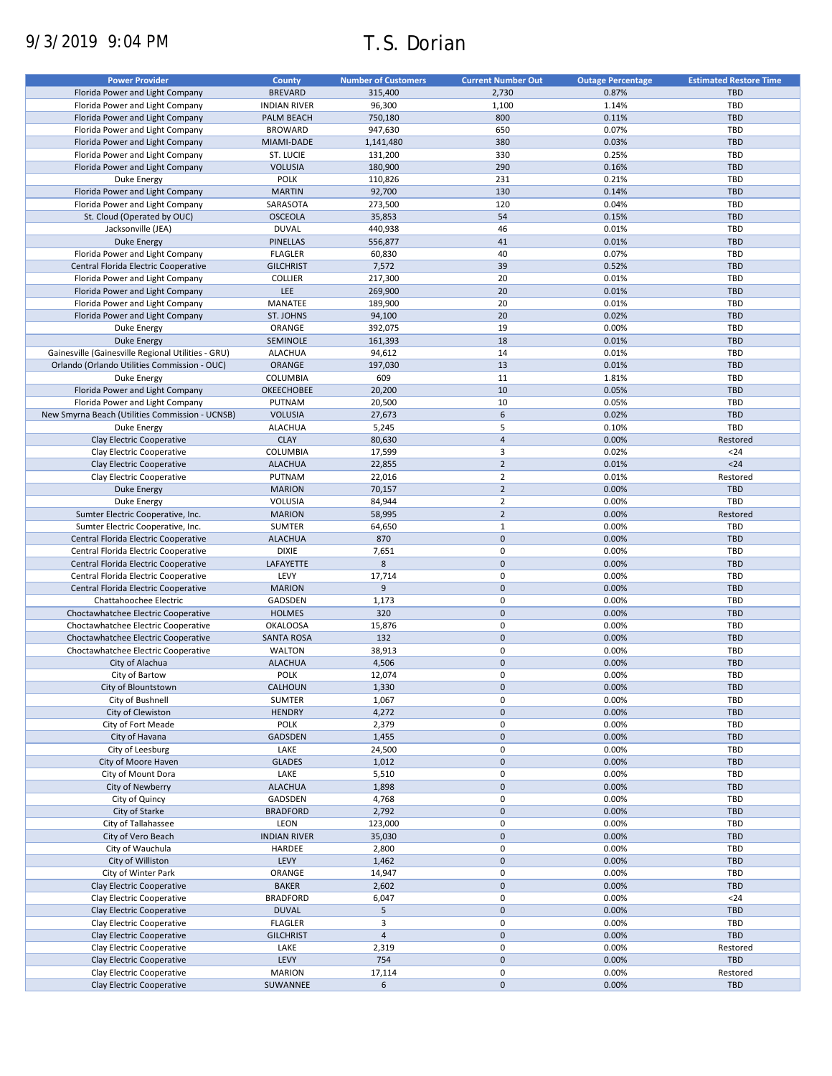# 9/3/2019 9:04 PM T.S. Dorian

| <b>Power Provider</b>                              | County              | <b>Number of Customers</b> | <b>Current Number Out</b> | <b>Outage Percentage</b> | <b>Estimated Restore Time</b> |
|----------------------------------------------------|---------------------|----------------------------|---------------------------|--------------------------|-------------------------------|
|                                                    |                     |                            |                           |                          |                               |
| Florida Power and Light Company                    | <b>BREVARD</b>      | 315,400                    | 2,730                     | 0.87%                    | <b>TBD</b>                    |
| Florida Power and Light Company                    | <b>INDIAN RIVER</b> | 96,300                     | 1,100                     | 1.14%                    | TBD                           |
| Florida Power and Light Company                    | PALM BEACH          | 750,180                    | 800                       | 0.11%                    | <b>TBD</b>                    |
| Florida Power and Light Company                    | <b>BROWARD</b>      | 947,630                    | 650                       | 0.07%                    | <b>TBD</b>                    |
| Florida Power and Light Company                    | MIAMI-DADE          | 1,141,480                  | 380                       | 0.03%                    | <b>TBD</b>                    |
| Florida Power and Light Company                    | ST. LUCIE           | 131,200                    | 330                       | 0.25%                    | TBD                           |
| Florida Power and Light Company                    | <b>VOLUSIA</b>      | 180,900                    | 290                       | 0.16%                    | <b>TBD</b>                    |
|                                                    |                     |                            |                           |                          |                               |
| Duke Energy                                        | <b>POLK</b>         | 110,826                    | 231                       | 0.21%                    | TBD                           |
| Florida Power and Light Company                    | <b>MARTIN</b>       | 92,700                     | 130                       | 0.14%                    | <b>TBD</b>                    |
| Florida Power and Light Company                    | SARASOTA            | 273,500                    | 120                       | 0.04%                    | <b>TBD</b>                    |
| St. Cloud (Operated by OUC)                        | <b>OSCEOLA</b>      | 35,853                     | 54                        | 0.15%                    | <b>TBD</b>                    |
| Jacksonville (JEA)                                 | <b>DUVAL</b>        | 440,938                    | 46                        | 0.01%                    | TBD                           |
| <b>Duke Energy</b>                                 | <b>PINELLAS</b>     | 556,877                    | 41                        | 0.01%                    | <b>TBD</b>                    |
|                                                    |                     |                            |                           |                          |                               |
| Florida Power and Light Company                    | <b>FLAGLER</b>      | 60,830                     | 40                        | 0.07%                    | TBD                           |
| Central Florida Electric Cooperative               | <b>GILCHRIST</b>    | 7,572                      | 39                        | 0.52%                    | <b>TBD</b>                    |
| Florida Power and Light Company                    | <b>COLLIER</b>      | 217,300                    | 20                        | 0.01%                    | TBD                           |
| Florida Power and Light Company                    | LEE                 | 269,900                    | 20                        | 0.01%                    | <b>TBD</b>                    |
| Florida Power and Light Company                    | MANATEE             | 189,900                    | 20                        | 0.01%                    | TBD                           |
|                                                    |                     |                            |                           |                          |                               |
| Florida Power and Light Company                    | ST. JOHNS           | 94,100                     | 20                        | 0.02%                    | <b>TBD</b>                    |
| Duke Energy                                        | ORANGE              | 392,075                    | 19                        | 0.00%                    | TBD                           |
| <b>Duke Energy</b>                                 | SEMINOLE            | 161,393                    | 18                        | 0.01%                    | <b>TBD</b>                    |
| Gainesville (Gainesville Regional Utilities - GRU) | <b>ALACHUA</b>      | 94,612                     | 14                        | 0.01%                    | TBD                           |
| Orlando (Orlando Utilities Commission - OUC)       | <b>ORANGE</b>       | 197,030                    | 13                        | 0.01%                    | <b>TBD</b>                    |
| <b>Duke Energy</b>                                 | <b>COLUMBIA</b>     | 609                        | 11                        | 1.81%                    | TBD                           |
|                                                    |                     |                            |                           |                          |                               |
| Florida Power and Light Company                    | OKEECHOBEE          | 20,200                     | 10                        | 0.05%                    | <b>TBD</b>                    |
| Florida Power and Light Company                    | PUTNAM              | 20,500                     | 10                        | 0.05%                    | TBD                           |
| New Smyrna Beach (Utilities Commission - UCNSB)    | <b>VOLUSIA</b>      | 27,673                     | 6                         | 0.02%                    | <b>TBD</b>                    |
| <b>Duke Energy</b>                                 | <b>ALACHUA</b>      | 5,245                      | 5                         | 0.10%                    | TBD                           |
| Clay Electric Cooperative                          | <b>CLAY</b>         | 80,630                     | $\overline{4}$            | 0.00%                    | Restored                      |
|                                                    |                     |                            |                           |                          |                               |
| Clay Electric Cooperative                          | COLUMBIA            | 17,599                     | 3                         | 0.02%                    | $24$                          |
| Clay Electric Cooperative                          | <b>ALACHUA</b>      | 22,855                     | $\overline{2}$            | 0.01%                    | $24$                          |
| Clay Electric Cooperative                          | PUTNAM              | 22,016                     | $\overline{2}$            | 0.01%                    | Restored                      |
| <b>Duke Energy</b>                                 | <b>MARION</b>       | 70,157                     | $\overline{2}$            | 0.00%                    | <b>TBD</b>                    |
| Duke Energy                                        | <b>VOLUSIA</b>      | 84,944                     | $\overline{2}$            | 0.00%                    | TBD                           |
|                                                    |                     |                            |                           |                          |                               |
| Sumter Electric Cooperative, Inc.                  | <b>MARION</b>       | 58,995                     | $\overline{2}$            | 0.00%                    | Restored                      |
| Sumter Electric Cooperative, Inc.                  | <b>SUMTER</b>       | 64,650                     | $\mathbf{1}$              | 0.00%                    | <b>TBD</b>                    |
| Central Florida Electric Cooperative               | <b>ALACHUA</b>      | 870                        | $\mathbf 0$               | 0.00%                    | <b>TBD</b>                    |
| Central Florida Electric Cooperative               | <b>DIXIE</b>        | 7,651                      | $\pmb{0}$                 | 0.00%                    | TBD                           |
| Central Florida Electric Cooperative               | LAFAYETTE           | 8                          | $\pmb{0}$                 | 0.00%                    | <b>TBD</b>                    |
| Central Florida Electric Cooperative               | LEVY                | 17,714                     | $\pmb{0}$                 | 0.00%                    | TBD                           |
|                                                    |                     |                            |                           |                          |                               |
| Central Florida Electric Cooperative               | <b>MARION</b>       | $\overline{9}$             | $\mathbf{0}$              | 0.00%                    | <b>TBD</b>                    |
| Chattahoochee Electric                             | GADSDEN             | 1,173                      | $\pmb{0}$                 | 0.00%                    | <b>TBD</b>                    |
| Choctawhatchee Electric Cooperative                | <b>HOLMES</b>       | 320                        | $\mathbf{0}$              | 0.00%                    | <b>TBD</b>                    |
| Choctawhatchee Electric Cooperative                | <b>OKALOOSA</b>     | 15,876                     | $\pmb{0}$                 | 0.00%                    | <b>TBD</b>                    |
| Choctawhatchee Electric Cooperative                | <b>SANTA ROSA</b>   | 132                        | $\mathbf 0$               | 0.00%                    | <b>TBD</b>                    |
|                                                    |                     |                            | $\pmb{0}$                 |                          | TBD                           |
| Choctawhatchee Electric Cooperative                | <b>WALTON</b>       | 38,913                     |                           | 0.00%                    |                               |
| City of Alachua                                    | <b>ALACHUA</b>      | 4,506                      | $\pmb{0}$                 | 0.00%                    | <b>TBD</b>                    |
| City of Bartow                                     | POLK                | 12,074                     | $\mathbf 0$               | 0.00%                    | TBD                           |
| City of Blountstown                                | CALHOUN             | 1,330                      | $\pmb{0}$                 | 0.00%                    | <b>TBD</b>                    |
| City of Bushnell                                   | SUMTER              | 1,067                      | $\pmb{0}$                 | 0.00%                    | TBD                           |
| City of Clewiston                                  | <b>HENDRY</b>       |                            | $\pmb{0}$                 | 0.00%                    | TBD                           |
|                                                    |                     | 4,272                      |                           |                          |                               |
| City of Fort Meade                                 | <b>POLK</b>         | 2,379                      | $\pmb{0}$                 | 0.00%                    | TBD                           |
| City of Havana                                     | GADSDEN             | 1,455                      | $\pmb{0}$                 | 0.00%                    | TBD                           |
| City of Leesburg                                   | LAKE                | 24,500                     | 0                         | 0.00%                    | TBD                           |
| City of Moore Haven                                | <b>GLADES</b>       | 1,012                      | $\pmb{0}$                 | 0.00%                    | TBD                           |
| City of Mount Dora                                 | LAKE                | 5,510                      | $\pmb{0}$                 | 0.00%                    | TBD                           |
|                                                    | <b>ALACHUA</b>      | 1,898                      | $\pmb{0}$                 | 0.00%                    | <b>TBD</b>                    |
| City of Newberry                                   |                     |                            |                           |                          |                               |
| City of Quincy                                     | GADSDEN             | 4,768                      | $\pmb{0}$                 | 0.00%                    | TBD                           |
| City of Starke                                     | <b>BRADFORD</b>     | 2,792                      | $\pmb{0}$                 | 0.00%                    | <b>TBD</b>                    |
| City of Tallahassee                                | LEON                | 123,000                    | $\pmb{0}$                 | 0.00%                    | TBD                           |
| City of Vero Beach                                 | <b>INDIAN RIVER</b> | 35,030                     | $\pmb{0}$                 | 0.00%                    | <b>TBD</b>                    |
| City of Wauchula                                   | HARDEE              | 2,800                      | $\pmb{0}$                 | 0.00%                    | TBD                           |
|                                                    |                     |                            | $\pmb{0}$                 |                          |                               |
| City of Williston                                  | LEVY                | 1,462                      |                           | 0.00%                    | TBD                           |
| City of Winter Park                                | ORANGE              | 14,947                     | 0                         | 0.00%                    | TBD                           |
| Clay Electric Cooperative                          | <b>BAKER</b>        | 2,602                      | $\pmb{0}$                 | 0.00%                    | TBD                           |
| Clay Electric Cooperative                          | <b>BRADFORD</b>     | 6,047                      | $\pmb{0}$                 | 0.00%                    | $24$                          |
| Clay Electric Cooperative                          | <b>DUVAL</b>        | 5                          | $\pmb{0}$                 | 0.00%                    | TBD                           |
| Clay Electric Cooperative                          | <b>FLAGLER</b>      | 3                          | $\pmb{0}$                 | 0.00%                    | TBD                           |
|                                                    |                     |                            |                           |                          |                               |
| Clay Electric Cooperative                          | <b>GILCHRIST</b>    | $\sqrt{4}$                 | $\pmb{0}$                 | 0.00%                    | TBD                           |
| Clay Electric Cooperative                          | LAKE                | 2,319                      | $\pmb{0}$                 | 0.00%                    | Restored                      |
| Clay Electric Cooperative                          | LEVY                | 754                        | $\pmb{0}$                 | 0.00%                    | TBD                           |
| Clay Electric Cooperative                          | <b>MARION</b>       | 17,114                     | $\pmb{0}$                 | 0.00%                    | Restored                      |
| Clay Electric Cooperative                          | SUWANNEE            | 6                          | $\pmb{0}$                 | 0.00%                    | TBD                           |
|                                                    |                     |                            |                           |                          |                               |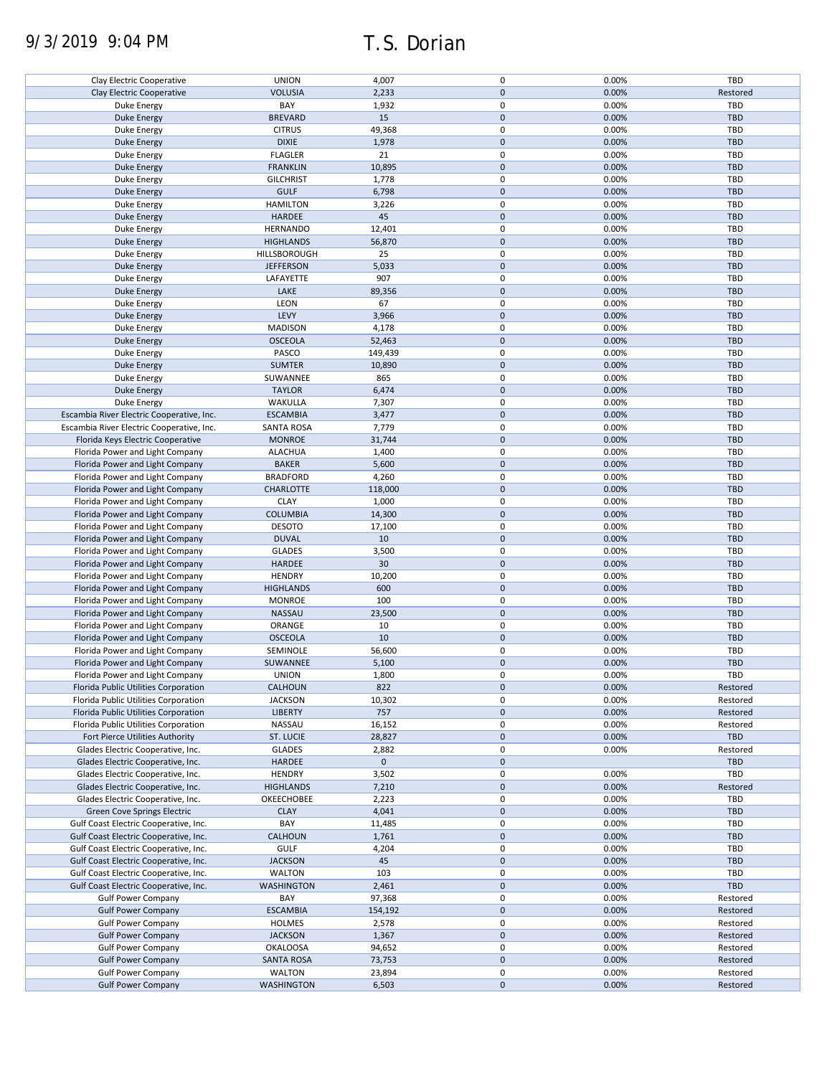# 9/3/2019 9:04 PM T.S. Dorian

| Clay Electric Cooperative                 | <b>UNION</b>      | 4,007       | 0           | 0.00% | TBD        |
|-------------------------------------------|-------------------|-------------|-------------|-------|------------|
| Clay Electric Cooperative                 | <b>VOLUSIA</b>    | 2,233       | $\mathbf 0$ | 0.00% | Restored   |
| Duke Energy                               | BAY               | 1,932       | 0           | 0.00% | TBD        |
|                                           |                   |             |             |       |            |
| <b>Duke Energy</b>                        | <b>BREVARD</b>    | 15          | $\mathbf 0$ | 0.00% | <b>TBD</b> |
| Duke Energy                               | <b>CITRUS</b>     | 49,368      | 0           | 0.00% | TBD        |
| <b>Duke Energy</b>                        | <b>DIXIE</b>      | 1,978       | $\mathbf 0$ | 0.00% | <b>TBD</b> |
| Duke Energy                               | <b>FLAGLER</b>    | 21          | 0           | 0.00% | TBD        |
|                                           |                   |             |             |       |            |
| <b>Duke Energy</b>                        | <b>FRANKLIN</b>   | 10,895      | $\mathbf 0$ | 0.00% | <b>TBD</b> |
| Duke Energy                               | <b>GILCHRIST</b>  | 1,778       | 0           | 0.00% | TBD        |
| <b>Duke Energy</b>                        | <b>GULF</b>       | 6,798       | $\mathbf 0$ | 0.00% | <b>TBD</b> |
| Duke Energy                               | <b>HAMILTON</b>   | 3,226       | 0           | 0.00% | TBD        |
|                                           |                   |             |             |       |            |
| <b>Duke Energy</b>                        | HARDEE            | 45          | $\mathbf 0$ | 0.00% | <b>TBD</b> |
| Duke Energy                               | <b>HERNANDO</b>   | 12,401      | 0           | 0.00% | <b>TBD</b> |
| <b>Duke Energy</b>                        | <b>HIGHLANDS</b>  | 56,870      | $\mathbf 0$ | 0.00% | <b>TBD</b> |
|                                           | HILLSBOROUGH      |             | 0           |       |            |
| Duke Energy                               |                   | 25          |             | 0.00% | <b>TBD</b> |
| <b>Duke Energy</b>                        | <b>JEFFERSON</b>  | 5,033       | $\mathbf 0$ | 0.00% | <b>TBD</b> |
| Duke Energy                               | LAFAYETTE         | 907         | 0           | 0.00% | <b>TBD</b> |
| <b>Duke Energy</b>                        | LAKE              | 89,356      | $\mathbf 0$ | 0.00% | <b>TBD</b> |
|                                           |                   |             | 0           |       |            |
| Duke Energy                               | LEON              | 67          |             | 0.00% | TBD        |
| <b>Duke Energy</b>                        | LEVY              | 3,966       | $\mathbf 0$ | 0.00% | <b>TBD</b> |
| Duke Energy                               | <b>MADISON</b>    | 4,178       | 0           | 0.00% | TBD        |
| <b>Duke Energy</b>                        | <b>OSCEOLA</b>    | 52,463      | $\pmb{0}$   | 0.00% | <b>TBD</b> |
|                                           |                   |             |             |       |            |
| Duke Energy                               | PASCO             | 149,439     | 0           | 0.00% | TBD        |
| <b>Duke Energy</b>                        | <b>SUMTER</b>     | 10,890      | $\mathbf 0$ | 0.00% | <b>TBD</b> |
| Duke Energy                               | SUWANNEE          | 865         | 0           | 0.00% | TBD        |
| <b>Duke Energy</b>                        | <b>TAYLOR</b>     | 6,474       | $\mathbf 0$ | 0.00% | <b>TBD</b> |
|                                           |                   |             |             |       |            |
| Duke Energy                               | WAKULLA           | 7,307       | 0           | 0.00% | TBD        |
| Escambia River Electric Cooperative, Inc. | <b>ESCAMBIA</b>   | 3,477       | $\mathbf 0$ | 0.00% | <b>TBD</b> |
| Escambia River Electric Cooperative, Inc. | <b>SANTA ROSA</b> | 7,779       | 0           | 0.00% | TBD        |
|                                           | <b>MONROE</b>     | 31,744      | $\mathbf 0$ | 0.00% | <b>TBD</b> |
| Florida Keys Electric Cooperative         |                   |             |             |       |            |
| Florida Power and Light Company           | <b>ALACHUA</b>    | 1,400       | 0           | 0.00% | TBD        |
| Florida Power and Light Company           | <b>BAKER</b>      | 5,600       | $\pmb{0}$   | 0.00% | <b>TBD</b> |
| Florida Power and Light Company           | <b>BRADFORD</b>   | 4,260       | $\pmb{0}$   | 0.00% | TBD        |
|                                           |                   |             |             |       |            |
| Florida Power and Light Company           | <b>CHARLOTTE</b>  | 118,000     | $\mathbf 0$ | 0.00% | <b>TBD</b> |
| Florida Power and Light Company           | <b>CLAY</b>       | 1,000       | $\pmb{0}$   | 0.00% | TBD        |
| Florida Power and Light Company           | <b>COLUMBIA</b>   | 14,300      | $\mathbf 0$ | 0.00% | <b>TBD</b> |
| Florida Power and Light Company           | <b>DESOTO</b>     | 17,100      | 0           | 0.00% | TBD        |
|                                           |                   |             |             |       |            |
| Florida Power and Light Company           | <b>DUVAL</b>      | 10          | $\mathbf 0$ | 0.00% | <b>TBD</b> |
| Florida Power and Light Company           | <b>GLADES</b>     | 3,500       | 0           | 0.00% | TBD        |
| Florida Power and Light Company           | <b>HARDEE</b>     | 30          | $\mathbf 0$ | 0.00% | <b>TBD</b> |
| Florida Power and Light Company           | <b>HENDRY</b>     | 10,200      | 0           | 0.00% | TBD        |
|                                           |                   |             |             |       |            |
| Florida Power and Light Company           | <b>HIGHLANDS</b>  | 600         | $\mathbf 0$ | 0.00% | <b>TBD</b> |
| Florida Power and Light Company           | <b>MONROE</b>     | 100         | 0           | 0.00% | TBD        |
| Florida Power and Light Company           | NASSAU            | 23,500      | $\mathbf 0$ | 0.00% | <b>TBD</b> |
| Florida Power and Light Company           | ORANGE            | 10          | 0           | 0.00% | TBD        |
|                                           |                   |             |             |       |            |
| Florida Power and Light Company           | <b>OSCEOLA</b>    | 10          | $\mathbf 0$ | 0.00% | <b>TBD</b> |
| Florida Power and Light Company           | SEMINOLE          | 56,600      | 0           | 0.00% | TBD        |
| Florida Power and Light Company           | SUWANNEE          | 5,100       | $\mathbf 0$ | 0.00% | <b>TBD</b> |
| Florida Power and Light Company           | <b>UNION</b>      | 1,800       | 0           | 0.00% | TBD        |
|                                           |                   |             |             |       |            |
| Florida Public Utilities Corporation      | CALHOUN           | 822         | $\mathbf 0$ | 0.00% | Restored   |
| Florida Public Utilities Corporation      | <b>JACKSON</b>    | 10,302      | 0           | 0.00% | Restored   |
| Florida Public Utilities Corporation      | <b>LIBERTY</b>    | 757         | $\mathbf 0$ | 0.00% | Restored   |
| Florida Public Utilities Corporation      | NASSAU            | 16,152      | 0           | 0.00% | Restored   |
|                                           |                   |             |             |       |            |
| Fort Pierce Utilities Authority           | <b>ST. LUCIE</b>  | 28,827      | $\pmb{0}$   | 0.00% | TBD        |
| Glades Electric Cooperative, Inc.         | <b>GLADES</b>     | 2,882       | 0           | 0.00% | Restored   |
| Glades Electric Cooperative, Inc.         | <b>HARDEE</b>     | $\mathbf 0$ | $\pmb{0}$   |       | TBD        |
|                                           |                   |             |             |       |            |
| Glades Electric Cooperative, Inc.         | <b>HENDRY</b>     | 3,502       | 0           | 0.00% | TBD        |
| Glades Electric Cooperative, Inc.         | <b>HIGHLANDS</b>  | 7,210       | 0           | 0.00% | Restored   |
| Glades Electric Cooperative, Inc.         | OKEECHOBEE        | 2,223       | 0           | 0.00% | TBD        |
| Green Cove Springs Electric               | <b>CLAY</b>       | 4,041       | $\mathbf 0$ | 0.00% | <b>TBD</b> |
|                                           |                   |             |             |       |            |
| Gulf Coast Electric Cooperative, Inc.     | BAY               | 11,485      | 0           | 0.00% | <b>TBD</b> |
| Gulf Coast Electric Cooperative, Inc.     | CALHOUN           | 1,761       | 0           | 0.00% | <b>TBD</b> |
| Gulf Coast Electric Cooperative, Inc.     | <b>GULF</b>       | 4,204       | 0           | 0.00% | <b>TBD</b> |
| Gulf Coast Electric Cooperative, Inc.     | <b>JACKSON</b>    | 45          | $\mathbf 0$ | 0.00% | <b>TBD</b> |
|                                           |                   |             |             |       |            |
| Gulf Coast Electric Cooperative, Inc.     | WALTON            | 103         | 0           | 0.00% | TBD        |
| Gulf Coast Electric Cooperative, Inc.     | WASHINGTON        | 2,461       | 0           | 0.00% | TBD        |
| <b>Gulf Power Company</b>                 | BAY               | 97,368      | 0           | 0.00% | Restored   |
| <b>Gulf Power Company</b>                 | <b>ESCAMBIA</b>   | 154,192     | 0           | 0.00% | Restored   |
|                                           |                   |             |             |       |            |
| <b>Gulf Power Company</b>                 | <b>HOLMES</b>     | 2,578       | 0           | 0.00% | Restored   |
| <b>Gulf Power Company</b>                 | <b>JACKSON</b>    | 1,367       | 0           | 0.00% | Restored   |
| <b>Gulf Power Company</b>                 | <b>OKALOOSA</b>   | 94,652      | 0           | 0.00% | Restored   |
| <b>Gulf Power Company</b>                 | <b>SANTA ROSA</b> | 73,753      | 0           | 0.00% | Restored   |
|                                           |                   |             |             |       |            |
| <b>Gulf Power Company</b>                 | WALTON            | 23,894      | 0           | 0.00% | Restored   |
| <b>Gulf Power Company</b>                 | <b>WASHINGTON</b> | 6,503       | $\pmb{0}$   | 0.00% | Restored   |
|                                           |                   |             |             |       |            |